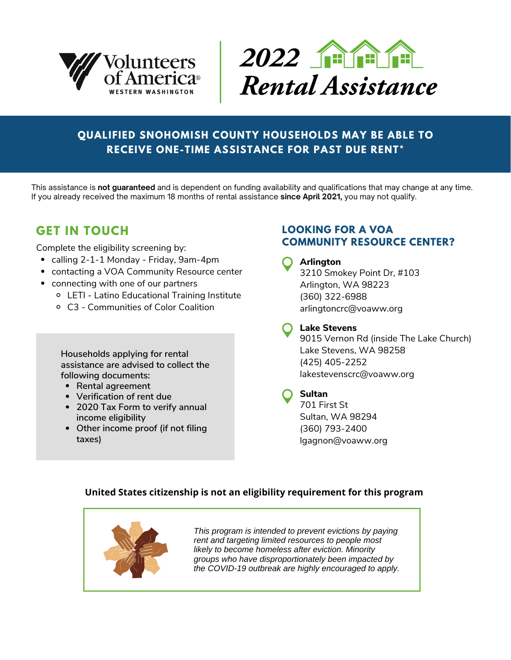



## **QUALIFIED SNOHOMISH COUNTY HOUSEHOLDS MAY BE ABLE TO RECEIVE ONE-TIME ASSISTANCE FOR PAST DUE RENT\***

This assistance is **not guaranteed** and is dependent on funding availability and qualifications that may change at any time. If you already received the maximum 18 months of rental assistance **since April 2021,** you may not qualify.

# **GET IN TOUCH**

Complete the eligibility screening by:

- calling 2-1-1 Monday Friday, 9am-4pm
- contacting a VOA Community Resource center
- connecting with one of our partners
	- LETI Latino Educational Training Institute
	- C3 Communities of Color Coalition

**Households applying for rental assistance are advised to collect the following documents:**

- **Rental agreement**
- **Verification of rent due**
- **2020 Tax Form to verify annual income eligibility**
- **Other income proof (if not filing taxes)**

### **LOOKING FOR A VOA COMMUNITY RESOURCE CENTER?**

**Arlington** 3210 Smokey Point Dr, #103 Arlington, WA 98223 (360) 322-6988 arlingtoncrc@voaww.org

**Lake Stevens**

9015 Vernon Rd (inside The Lake Church) Lake Stevens, WA 98258 (425) 405-2252 lakestevenscrc[@voaww.org](mailto:tlawson@voaww.org)

### **Sultan**

701 First St Sultan, WA 98294 (360) 793-2400 lgagnon@voaww.org

#### **United States citizenship is not an eligibility requirement for this program**



*This program is intended to prevent evictions by paying rent and targeting limited resources to people most likely to become homeless after eviction. Minority groups who have disproportionately been impacted by the COVID-19 outbreak are highly encouraged to apply.*